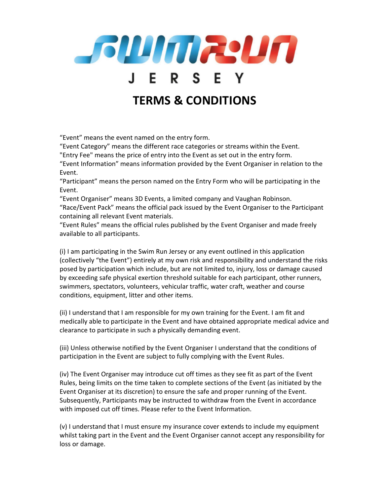

## TERMS & CONDITIONS

"Event" means the event named on the entry form.

"Event Category" means the different race categories or streams within the Event.

"Entry Fee" means the price of entry into the Event as set out in the entry form.

"Event Information" means information provided by the Event Organiser in relation to the Event.

"Participant" means the person named on the Entry Form who will be participating in the Event.

"Event Organiser" means 3D Events, a limited company and Vaughan Robinson.

"Race/Event Pack" means the official pack issued by the Event Organiser to the Participant containing all relevant Event materials.

"Event Rules" means the official rules published by the Event Organiser and made freely available to all participants.

(i) I am participating in the Swim Run Jersey or any event outlined in this application (collectively "the Event") entirely at my own risk and responsibility and understand the risks posed by participation which include, but are not limited to, injury, loss or damage caused by exceeding safe physical exertion threshold suitable for each participant, other runners, swimmers, spectators, volunteers, vehicular traffic, water craft, weather and course conditions, equipment, litter and other items.

(ii) I understand that I am responsible for my own training for the Event. I am fit and medically able to participate in the Event and have obtained appropriate medical advice and clearance to participate in such a physically demanding event.

(iii) Unless otherwise notified by the Event Organiser I understand that the conditions of participation in the Event are subject to fully complying with the Event Rules.

(iv) The Event Organiser may introduce cut off times as they see fit as part of the Event Rules, being limits on the time taken to complete sections of the Event (as initiated by the Event Organiser at its discretion) to ensure the safe and proper running of the Event. Subsequently, Participants may be instructed to withdraw from the Event in accordance with imposed cut off times. Please refer to the Event Information.

(v) I understand that I must ensure my insurance cover extends to include my equipment whilst taking part in the Event and the Event Organiser cannot accept any responsibility for loss or damage.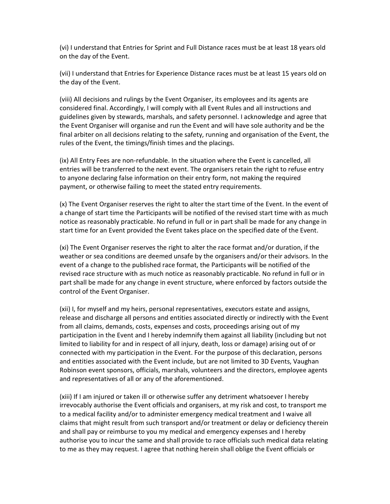(vi) I understand that Entries for Sprint and Full Distance races must be at least 18 years old on the day of the Event.

(vii) I understand that Entries for Experience Distance races must be at least 15 years old on the day of the Event.

(viii) All decisions and rulings by the Event Organiser, its employees and its agents are considered final. Accordingly, I will comply with all Event Rules and all instructions and guidelines given by stewards, marshals, and safety personnel. I acknowledge and agree that the Event Organiser will organise and run the Event and will have sole authority and be the final arbiter on all decisions relating to the safety, running and organisation of the Event, the rules of the Event, the timings/finish times and the placings.

(ix) All Entry Fees are non-refundable. In the situation where the Event is cancelled, all entries will be transferred to the next event. The organisers retain the right to refuse entry to anyone declaring false information on their entry form, not making the required payment, or otherwise failing to meet the stated entry requirements.

(x) The Event Organiser reserves the right to alter the start time of the Event. In the event of a change of start time the Participants will be notified of the revised start time with as much notice as reasonably practicable. No refund in full or in part shall be made for any change in start time for an Event provided the Event takes place on the specified date of the Event.

(xi) The Event Organiser reserves the right to alter the race format and/or duration, if the weather or sea conditions are deemed unsafe by the organisers and/or their advisors. In the event of a change to the published race format, the Participants will be notified of the revised race structure with as much notice as reasonably practicable. No refund in full or in part shall be made for any change in event structure, where enforced by factors outside the control of the Event Organiser.

(xii) I, for myself and my heirs, personal representatives, executors estate and assigns, release and discharge all persons and entities associated directly or indirectly with the Event from all claims, demands, costs, expenses and costs, proceedings arising out of my participation in the Event and I hereby indemnify them against all liability (including but not limited to liability for and in respect of all injury, death, loss or damage) arising out of or connected with my participation in the Event. For the purpose of this declaration, persons and entities associated with the Event include, but are not limited to 3D Events, Vaughan Robinson event sponsors, officials, marshals, volunteers and the directors, employee agents and representatives of all or any of the aforementioned.

(xiii) If I am injured or taken ill or otherwise suffer any detriment whatsoever I hereby irrevocably authorise the Event officials and organisers, at my risk and cost, to transport me to a medical facility and/or to administer emergency medical treatment and I waive all claims that might result from such transport and/or treatment or delay or deficiency therein and shall pay or reimburse to you my medical and emergency expenses and I hereby authorise you to incur the same and shall provide to race officials such medical data relating to me as they may request. I agree that nothing herein shall oblige the Event officials or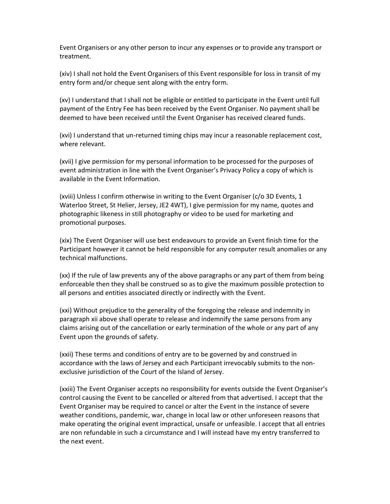Event Organisers or any other person to incur any expenses or to provide any transport or treatment.

(xiv) I shall not hold the Event Organisers of this Event responsible for loss in transit of my entry form and/or cheque sent along with the entry form.

(xv) I understand that I shall not be eligible or entitled to participate in the Event until full payment of the Entry Fee has been received by the Event Organiser. No payment shall be deemed to have been received until the Event Organiser has received cleared funds.

(xvi) I understand that un-returned timing chips may incur a reasonable replacement cost, where relevant.

(xvii) I give permission for my personal information to be processed for the purposes of event administration in line with the Event Organiser's Privacy Policy a copy of which is available in the Event Information.

(xviii) Unless I confirm otherwise in writing to the Event Organiser (c/o 3D Events, 1 Waterloo Street, St Helier, Jersey, JE2 4WT), I give permission for my name, quotes and photographic likeness in still photography or video to be used for marketing and promotional purposes.

(xix) The Event Organiser will use best endeavours to provide an Event finish time for the Participant however it cannot be held responsible for any computer result anomalies or any technical malfunctions.

(xx) If the rule of law prevents any of the above paragraphs or any part of them from being enforceable then they shall be construed so as to give the maximum possible protection to all persons and entities associated directly or indirectly with the Event.

(xxi) Without prejudice to the generality of the foregoing the release and indemnity in paragraph xii above shall operate to release and indemnify the same persons from any claims arising out of the cancellation or early termination of the whole or any part of any Event upon the grounds of safety.

(xxii) These terms and conditions of entry are to be governed by and construed in accordance with the laws of Jersey and each Participant irrevocably submits to the nonexclusive jurisdiction of the Court of the Island of Jersey.

(xxiii) The Event Organiser accepts no responsibility for events outside the Event Organiser's control causing the Event to be cancelled or altered from that advertised. I accept that the Event Organiser may be required to cancel or alter the Event in the instance of severe weather conditions, pandemic, war, change in local law or other unforeseen reasons that make operating the original event impractical, unsafe or unfeasible. I accept that all entries are non refundable in such a circumstance and I will instead have my entry transferred to the next event.